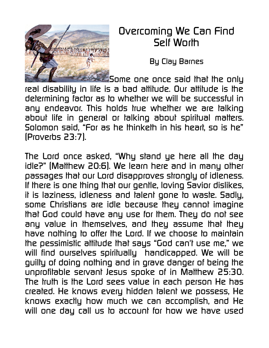

## Overcoming We Can Find Self Worth

By Clay Barnes

Some one once said that the only real disability in life is a bad attitude. Our attitude is the determining factor as to whether we will be successful in any endeavor. This holds true whether we are talking about life in general or talking about spiritual matters. Solomon said, "For as he thinketh in his heart, so is he" (Proverbs 23:7).

The Lord once asked, "Why stand ye here all the day idle?" (Matthew 20:6). We learn here and in many other passages that our Lord disapproves strongly of idleness. If there is one thing that our gentle, loving Savior dislikes, it is laziness, idleness and talent gone to waste. Sadly, some Christians are idle because they cannot imagine that God could have any use for them. They do not see any value in themselves, and they assume that they have nothing to offer the Lord. If we choose to maintain the pessimistic attitude that says "God can't use me," we will find ourselves spiritually handicapped. We will be guilty of doing nothing and in grave danger of being the unprofitable servant Jesus spoke of in Matthew 25:30. The truth is the Lord sees value in each person He has created. He knows every hidden talent we possess, He knows exactly how much we can accomplish, and He will one day call us to account for how we have used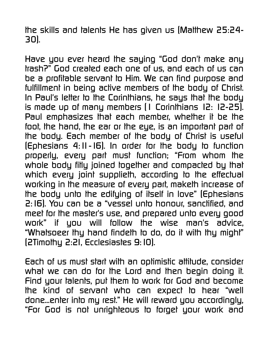the skills and talents He has given us (Matthew 25:24- 30).

Have you ever heard the saying "God don't make any trash?" God created each one of us, and each of us can be a profitable servant to Him. We can find purpose and fulfillment in being active members of the body of Christ. In Paul's letter to the Corinthians, he says that the body is made up of many members (1 Corinthians 12: 12-25). Paul emphasizes that each member, whether it be the foot, the hand, the ear or the eye, is an important part of the body. Each member of the body of Christ is useful (Ephesians 4:11-16). In order for the body to function properly, every part must function; "From whom the whole body fitly joined together and compacted by that which every joint supplieth, according to the effectual working in the measure of every part, maketh increase of the body unto the edifying of itself in love" (Ephesians 2:16). You can be a "vessel unto honour, sanctified, and meet for the master's use, and prepared unto every good work" if you will follow the wise man's advice, "Whatsoeer thy hand findeth to do, do it with thy might" (2Timothy 2:21, Ecclesiastes 9:10).

Each of us must start with an optimistic attitude, consider what we can do for the Lord and then begin doing it. Find your talents, put them to work for God and become the kind of servant who can expect to hear "well done...enter into my rest." He will reward you accordingly, "For God is not unrighteous to forget your work and